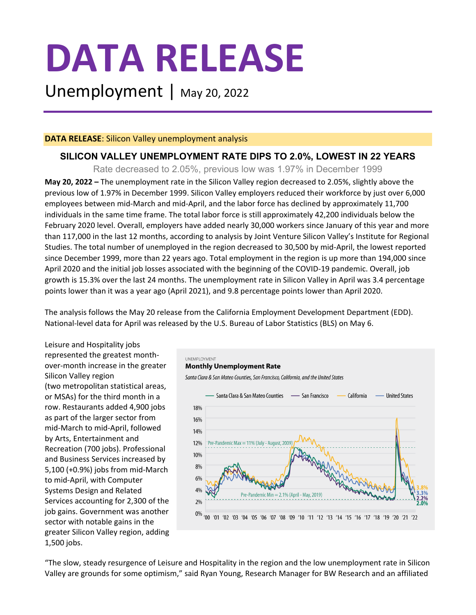# **DATA RELEASE**

Unemployment | May 20, 2022

## **DATA RELEASE**: Silicon Valley unemployment analysis

# **SILICON VALLEY UNEMPLOYMENT RATE DIPS TO 2.0%, LOWEST IN 22 YEARS**

Rate decreased to 2.05%, previous low was 1.97% in December 1999

**May 20, 2022 –** The unemployment rate in the Silicon Valley region decreased to 2.05%, slightly above the previous low of 1.97% in December 1999. Silicon Valley employers reduced their workforce by just over 6,000 employees between mid-March and mid-April, and the labor force has declined by approximately 11,700 individuals in the same time frame. The total labor force is still approximately 42,200 individuals below the February 2020 level. Overall, employers have added nearly 30,000 workers since January of this year and more than 117,000 in the last 12 months, according to analysis by Joint Venture Silicon Valley's Institute for Regional Studies. The total number of unemployed in the region decreased to 30,500 by mid-April, the lowest reported since December 1999, more than 22 years ago. Total employment in the region is up more than 194,000 since April 2020 and the initial job losses associated with the beginning of the COVID-19 pandemic. Overall, job growth is 15.3% over the last 24 months. The unemployment rate in Silicon Valley in April was 3.4 percentage points lower than it was a year ago (April 2021), and 9.8 percentage points lower than April 2020.

The analysis follows the May 20 release from the California Employment Development Department (EDD). National-level data for April was released by the U.S. Bureau of Labor Statistics (BLS) on May 6.

Leisure and Hospitality jobs represented the greatest monthover-month increase in the greater Silicon Valley region (two metropolitan statistical areas, or MSAs) for the third month in a row. Restaurants added 4,900 jobs as part of the larger sector from mid-March to mid-April, followed by Arts, Entertainment and Recreation (700 jobs). Professional and Business Services increased by 5,100 (+0.9%) jobs from mid-March to mid-April, with Computer Systems Design and Related Services accounting for 2,300 of the job gains. Government was another sector with notable gains in the greater Silicon Valley region, adding 1,500 jobs.



"The slow, steady resurgence of Leisure and Hospitality in the region and the low unemployment rate in Silicon Valley are grounds for some optimism," said Ryan Young, Research Manager for BW Research and an affiliated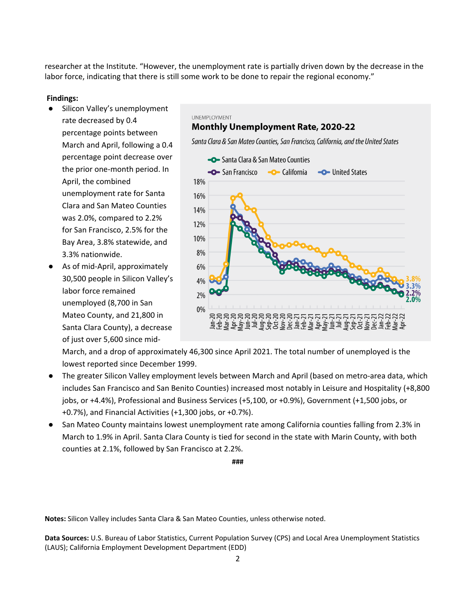researcher at the Institute. "However, the unemployment rate is partially driven down by the decrease in the labor force, indicating that there is still some work to be done to repair the regional economy."

### **Findings:**

- Silicon Valley's unemployment rate decreased by 0.4 percentage points between March and April, following a 0.4 percentage point decrease over the prior one-month period. In April, the combined unemployment rate for Santa Clara and San Mateo Counties was 2.0%, compared to 2.2% for San Francisco, 2.5% for the Bay Area, 3.8% statewide, and 3.3% nationwide.
- As of mid-April, approximately 30,500 people in Silicon Valley's labor force remained unemployed (8,700 in San Mateo County, and 21,800 in Santa Clara County), a decrease of just over 5,600 since mid-



March, and a drop of approximately 46,300 since April 2021. The total number of unemployed is the lowest reported since December 1999.

- The greater Silicon Valley employment levels between March and April (based on metro-area data, which includes San Francisco and San Benito Counties) increased most notably in Leisure and Hospitality (+8,800 jobs, or +4.4%), Professional and Business Services (+5,100, or +0.9%), Government (+1,500 jobs, or +0.7%), and Financial Activities (+1,300 jobs, or +0.7%).
- San Mateo County maintains lowest unemployment rate among California counties falling from 2.3% in March to 1.9% in April. Santa Clara County is tied for second in the state with Marin County, with both counties at 2.1%, followed by San Francisco at 2.2%.

**###**

**Notes:** Silicon Valley includes Santa Clara & San Mateo Counties, unless otherwise noted.

**Data Sources:** U.S. Bureau of Labor Statistics, Current Population Survey (CPS) and Local Area Unemployment Statistics (LAUS); California Employment Development Department (EDD)